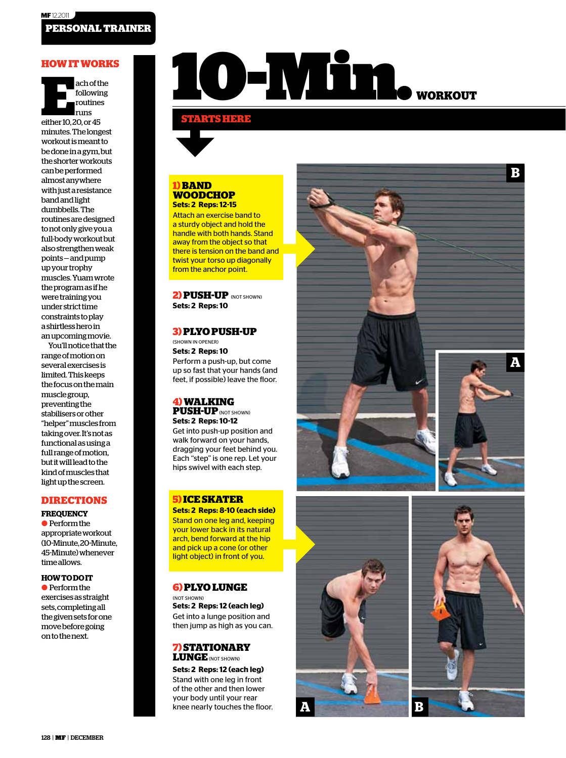ach of the<br>
following<br>
routines<br>
runs<br>
either 10, 20, or 45 following routines runs minutes. The longest workout is meant to be done in a gym, but the shorter workouts can be performed almost anywhere with just a resistance band and light dumbbells. The routines are designed to not only give you a full-body workout but also strengthen weak points — and pump up your trophy muscles. Yuam wrote the program as if he were training you under strict time constraints to play a shirtless hero in an upcoming movie.

You'll notice that the range of motion on several exercises is limited. This keeps the focus on the main muscle group, preventing the stabilisers or other "helper" muscles from taking over. It's not as functional as using a full range of motion, but it will lead to the kind of muscles that light up the screen.

#### **DIRECTIONS**

**FREQUENCY** ● Perform the appropriate workout (10-Minute, 20-Minute, 45-Minute) whenever time allows.

#### **HOW TO DO IT**

● Perform the exercises as straight sets, completing all the given sets for one move before going on to the next.

# **HOW IT WORKS Now IT WORKS Now IT WORKS**

#### **STARTS HERE**

#### **1) BAND WOODCHOP Sets: 2 Reps: 12-15**

Attach an exercise band to a sturdy object and hold the handle with both hands. Stand away from the object so that there is tension on the band and twist your torso up diagonally from the anchor point.

**2) PUSH-UP** (NOT SHOWN) **Sets: 2 Reps: 10**

## **3) PLYO PUSH-UP**

(SHOWN IN OPENER) **Sets: 2 Reps: 10** Perform a push-up, but come up so fast that your hands (and feet, if possible) leave the floor.

#### **4) WALKING PUSH-UP** (NOT SHOWN) **Sets: 2 Reps: 10-12**

Get into push-up position and walk forward on your hands, dragging your feet behind you. Each "step" is one rep. Let your hips swivel with each step.

# **5) ICE SKATER Sets: 2 Reps: 8-10 (each side)**

Stand on one leg and, keeping your lower back in its natural arch, bend forward at the hip and pick up a cone (or other light object) in front of you.

#### **6) PLYO LUNGE**

(NOT SHOWN) **Sets: 2 Reps: 12 (each leg)** Get into a lunge position and then jump as high as you can.

#### **7) STATIONARY LUNGE** (NOT SHOWN)

**Sets: 2 Reps: 12 (each leg)** Stand with one leg in front of the other and then lower your body until your rear knee nearly touches the floor. **A**







**A**

**B**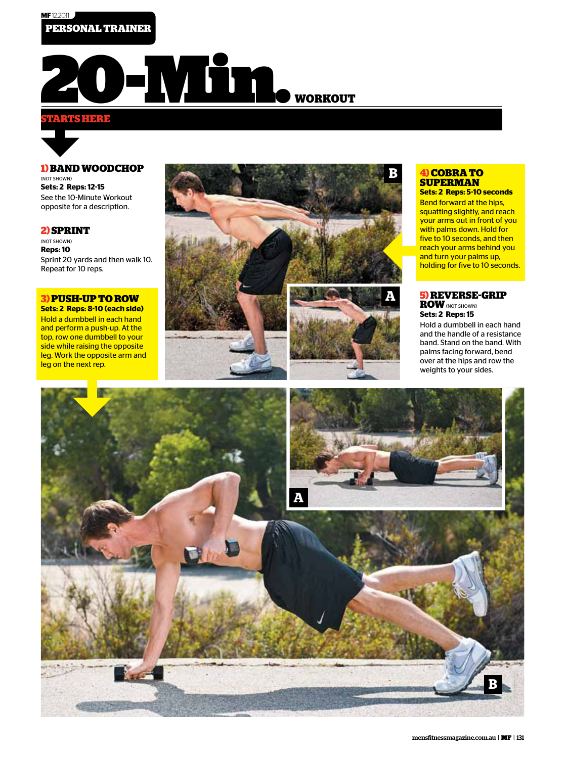

### **STARTS HERE**



#### **1) BAND WOODCHOP**

(NOT SHOWN) **Sets: 2 Reps: 12-15** See the 10-Minute Workout opposite for a description.

#### **2) SPRINT**

(NOT SHOWN) **Reps: 10** Sprint 20 yards and then walk 10. Repeat for 10 reps.

# **3) PUSH-UP TO ROW**

**Sets: 2 Reps: 8-10 (each side)** Hold a dumbbell in each hand and perform a push-up. At the top, row one dumbbell to your side while raising the opposite leg. Work the opposite arm and leg on the next rep.



#### **4) COBRA TO SUPERMAN**

**Sets: 2 Reps: 5-10 seconds** Bend forward at the hips, squatting slightly, and reach your arms out in front of you with palms down. Hold for five to 10 seconds, and then reach your arms behind you and turn your palms up, holding for five to 10 seconds.

**5) REVERSE-GRIP ROW** (NOT SHOWN) **Sets: 2 Reps: 15** Hold a dumbbell in each hand

and the handle of a resistance band. Stand on the band. With palms facing forward, bend over at the hips and row the weights to your sides.

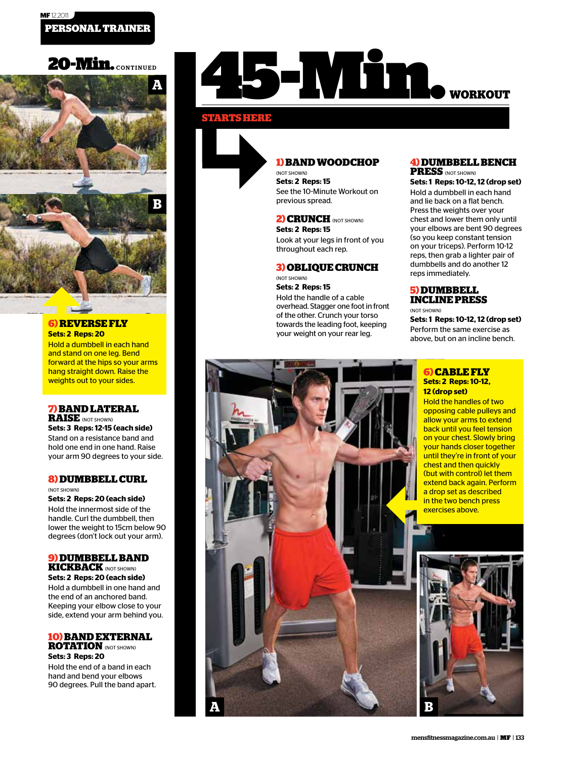# 20-Min. CONTINUED



#### **6) REVERSE FLY Sets: 2 Reps: 20**

**SEL** 

Hold a dumbbell in each hand and stand on one leg. Bend forward at the hips so your arms hang straight down. Raise the weights out to your sides.

# **7) BAND LATERAL**

**RAISE** (NOT SHOWN) **Sets: 3 Reps: 12-15 (each side)** Stand on a resistance band and hold one end in one hand. Raise your arm 90 degrees to your side.

#### **8) DUMBBELL CURL** (NOT SHOWN)

**Sets: 2 Reps: 20 (each side)** Hold the innermost side of the handle. Curl the dumbbell, then lower the weight to 15cm below 90 degrees (don't lock out your arm).

#### **9) DUMBBELL BAND KICKBACK** (NOT SHOWN)

**Sets: 2 Reps: 20 (each side)** Hold a dumbbell in one hand and the end of an anchored band. Keeping your elbow close to your side, extend your arm behind you.

## **10) BAND EXTERNAL ROTATION** (NOT SHOWN)

**Sets: 3 Reps: 20** Hold the end of a band in each hand and bend your elbows 90 degrees. Pull the band apart.

**A**

# **45-Min. WORKOUT**

#### **STARTS HERE**



### **1) BAND WOODCHOP**

(NOT SHOWN) **Sets: 2 Reps: 15** See the 10-Minute Workout on previous spread.

#### **2) CRUNCH** (NOT SHOWN)

**Sets: 2 Reps: 15** Look at your legs in front of you throughout each rep.

#### **3) OBLIQUE CRUNCH**

(NOT SHOWN) **Sets: 2 Reps: 15**

Hold the handle of a cable overhead. Stagger one foot in front of the other. Crunch your torso towards the leading foot, keeping your weight on your rear leg.

#### **4) DUMBBELL BENCH PRESS** (NOT SHOWN)

**Sets: 1 Reps: 10-12, 12 (drop set)** Hold a dumbbell in each hand and lie back on a flat bench. Press the weights over your chest and lower them only until your elbows are bent 90 degrees (so you keep constant tension on your triceps). Perform 10-12 reps, then grab a lighter pair of dumbbells and do another 12 reps immediately.

#### **5) DUMBBELL INCLINE PRESS**

(NOT SHOWN) **Sets: 1 Reps: 10-12, 12 (drop set)** Perform the same exercise as above, but on an incline bench.

#### **6) CABLE FLY Sets: 2 Reps: 10-12, 12 (drop set)**

Hold the handles of two opposing cable pulleys and allow your arms to extend back until you feel tension on your chest. Slowly bring your hands closer together until they're in front of your chest and then quickly (but with control) let them extend back again. Perform a drop set as described in the two bench press exercises above.